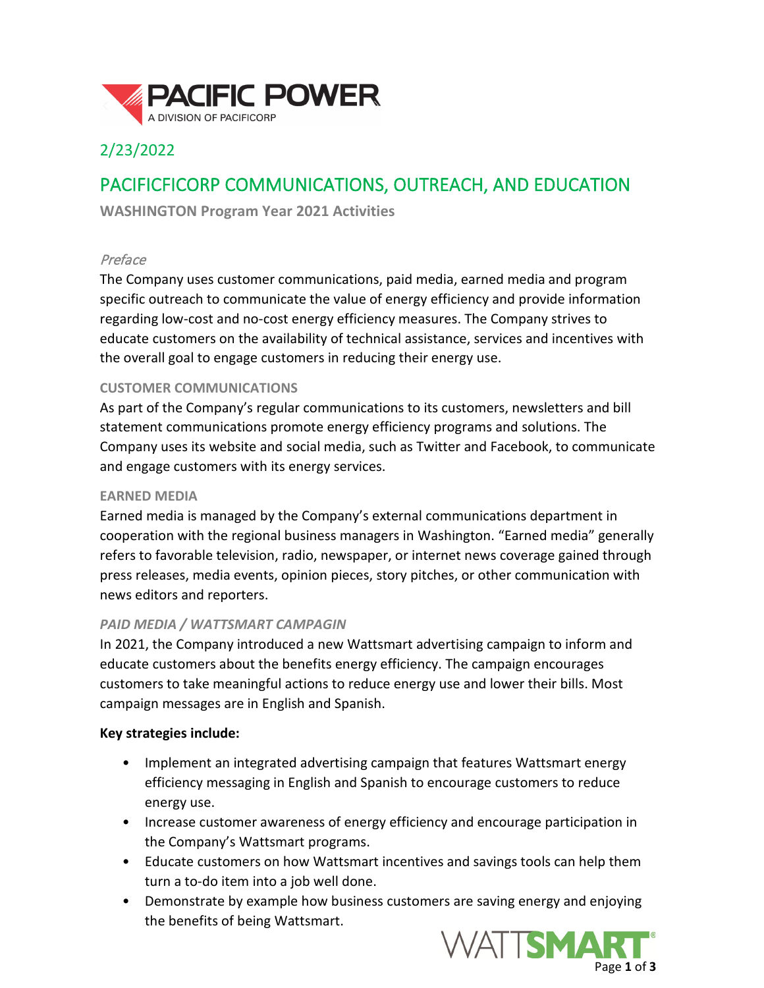

# 2/23/2022

# PACIFICFICORP COMMUNICATIONS, OUTREACH, AND EDUCATION

**WASHINGTON Program Year 2021 Activities**

## Preface

The Company uses customer communications, paid media, earned media and program specific outreach to communicate the value of energy efficiency and provide information regarding low-cost and no-cost energy efficiency measures. The Company strives to educate customers on the availability of technical assistance, services and incentives with the overall goal to engage customers in reducing their energy use.

## **CUSTOMER COMMUNICATIONS**

As part of the Company's regular communications to its customers, newsletters and bill statement communications promote energy efficiency programs and solutions. The Company uses its website and social media, such as Twitter and Facebook, to communicate and engage customers with its energy services.

#### **EARNED MEDIA**

Earned media is managed by the Company's external communications department in cooperation with the regional business managers in Washington. "Earned media" generally refers to favorable television, radio, newspaper, or internet news coverage gained through press releases, media events, opinion pieces, story pitches, or other communication with news editors and reporters.

#### *PAID MEDIA / WATTSMART CAMPAGIN*

In 2021, the Company introduced a new Wattsmart advertising campaign to inform and educate customers about the benefits energy efficiency. The campaign encourages customers to take meaningful actions to reduce energy use and lower their bills. Most campaign messages are in English and Spanish.

#### **Key strategies include:**

- Implement an integrated advertising campaign that features Wattsmart energy efficiency messaging in English and Spanish to encourage customers to reduce energy use.
- Increase customer awareness of energy efficiency and encourage participation in the Company's Wattsmart programs.
- Educate customers on how Wattsmart incentives and savings tools can help them turn a to-do item into a job well done.
- Demonstrate by example how business customers are saving energy and enjoying the benefits of being Wattsmart.

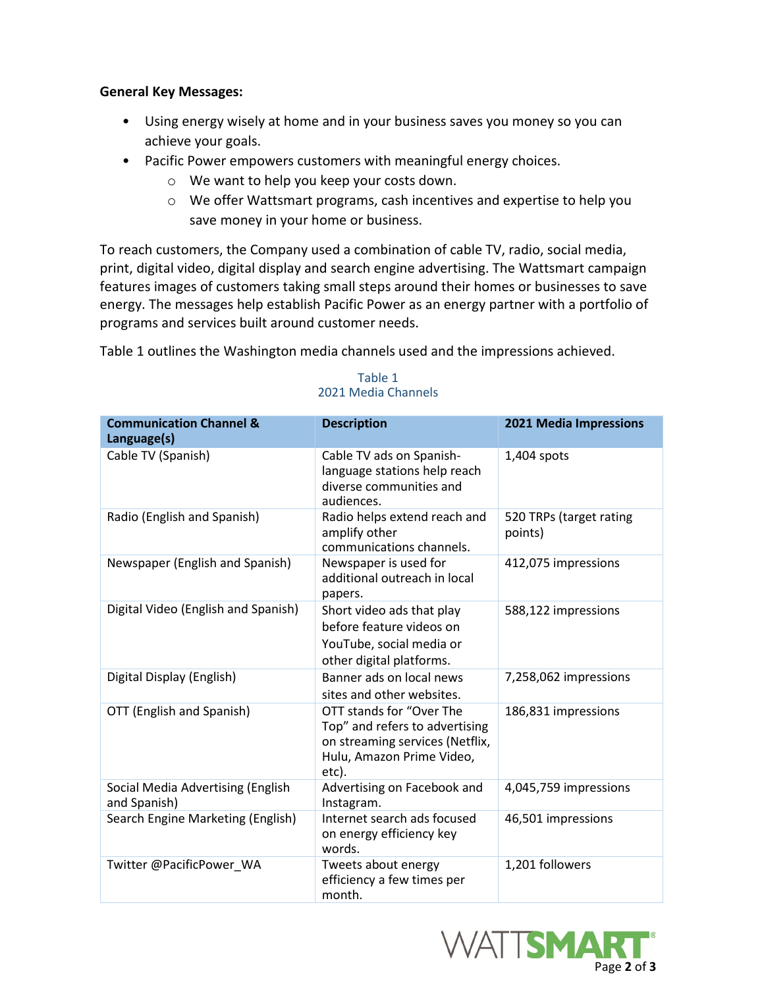#### **General Key Messages:**

- Using energy wisely at home and in your business saves you money so you can achieve your goals.
- Pacific Power empowers customers with meaningful energy choices.
	- o We want to help you keep your costs down.
	- o We offer Wattsmart programs, cash incentives and expertise to help you save money in your home or business.

To reach customers, the Company used a combination of cable TV, radio, social media, print, digital video, digital display and search engine advertising. The Wattsmart campaign features images of customers taking small steps around their homes or businesses to save energy. The messages help establish Pacific Power as an energy partner with a portfolio of programs and services built around customer needs.

Table 1 outlines the Washington media channels used and the impressions achieved.

| <b>Communication Channel &amp;</b><br>Language(s) | <b>Description</b>                                                                                                                  | 2021 Media Impressions             |
|---------------------------------------------------|-------------------------------------------------------------------------------------------------------------------------------------|------------------------------------|
| Cable TV (Spanish)                                | Cable TV ads on Spanish-<br>language stations help reach<br>diverse communities and<br>audiences.                                   | 1,404 spots                        |
| Radio (English and Spanish)                       | Radio helps extend reach and<br>amplify other<br>communications channels.                                                           | 520 TRPs (target rating<br>points) |
| Newspaper (English and Spanish)                   | Newspaper is used for<br>additional outreach in local<br>papers.                                                                    | 412,075 impressions                |
| Digital Video (English and Spanish)               | Short video ads that play<br>before feature videos on<br>YouTube, social media or<br>other digital platforms.                       | 588,122 impressions                |
| Digital Display (English)                         | Banner ads on local news<br>sites and other websites.                                                                               | 7,258,062 impressions              |
| OTT (English and Spanish)                         | OTT stands for "Over The<br>Top" and refers to advertising<br>on streaming services (Netflix,<br>Hulu, Amazon Prime Video,<br>etc). | 186,831 impressions                |
| Social Media Advertising (English<br>and Spanish) | Advertising on Facebook and<br>Instagram.                                                                                           | 4,045,759 impressions              |
| Search Engine Marketing (English)                 | Internet search ads focused<br>on energy efficiency key<br>words.                                                                   | 46,501 impressions                 |
| Twitter @PacificPower_WA                          | Tweets about energy<br>efficiency a few times per<br>month.                                                                         | 1,201 followers                    |

#### Table 1 2021 Media Channels